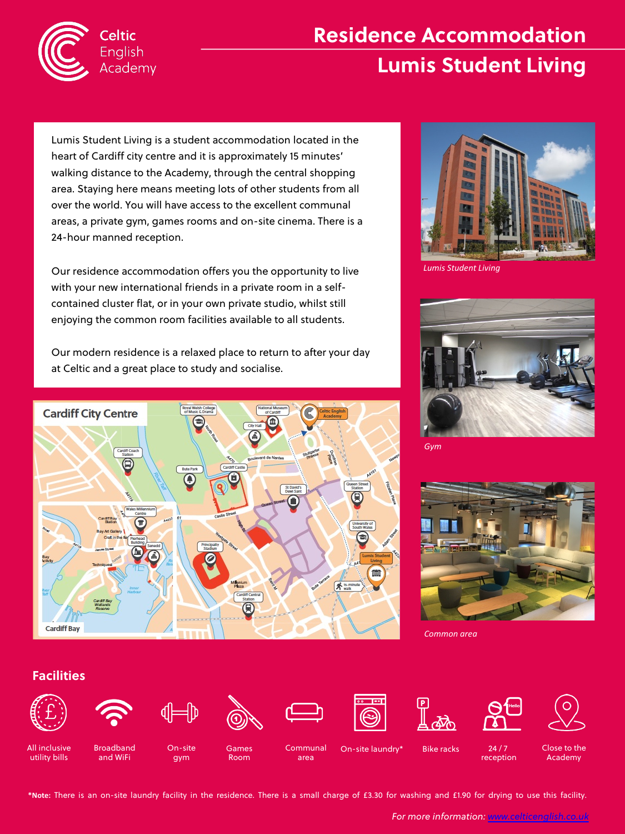

Celtic English Academy

# **Residence Accommodation Lumis Student Living**

Lumis Student Living is a student accommodation located in the heart of Cardiff city centre and it is approximately 15 minutes' walking distance to the Academy, through the central shopping area. Staying here means meeting lots of other students from all over the world. You will have access to the excellent communal areas, a private gym, games rooms and on-site cinema. There is a 24-hour manned reception.

Our residence accommodation offers you the opportunity to live with your new international friends in a private room in a selfcontained cluster flat, or in your own private studio, whilst still enjoying the common room facilities available to all students.

Our modern residence is a relaxed place to return to after your day at Celtic and a great place to study and socialise.



## **Facilities**













*Common area* 

*Gym*





All inclusive



gym

**Games** Room

On-site laundry\*

Bike racks 24 / 7 receptior

Close to the Academy

utility bills





On-site

Communal area



*For more information: www.celticenglish.co.uk*



*Lumis Student Living*